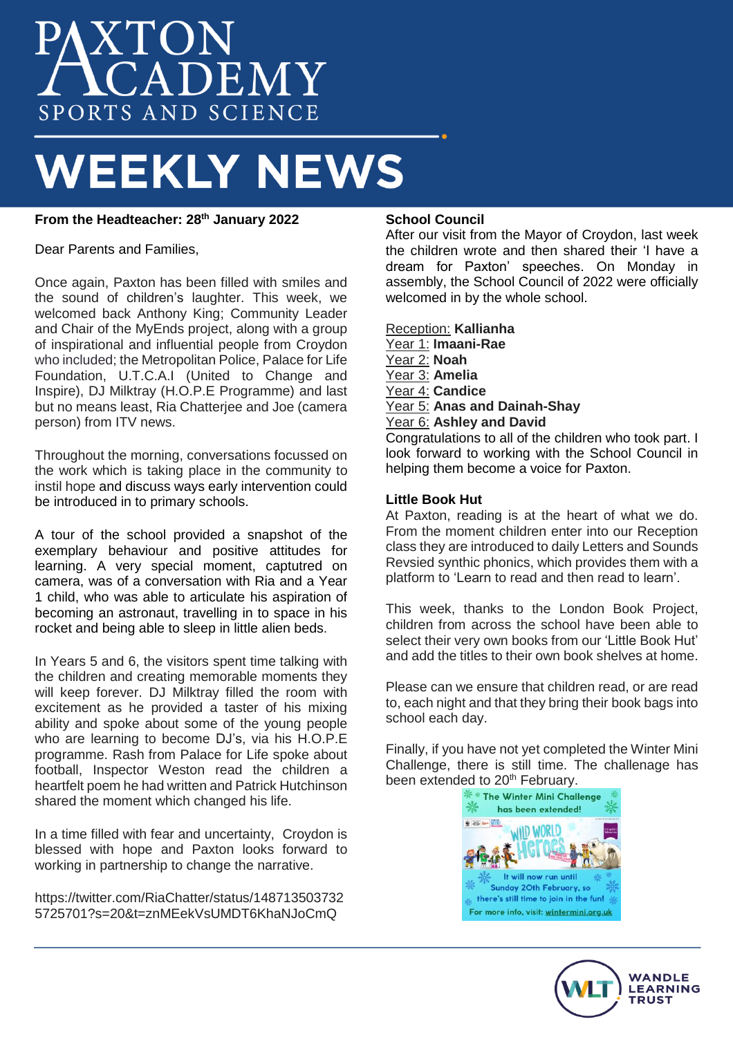# XTON<br>CADEMY SPORTS AND SCIENCE

## **WEEKLY NEWS**

## **From the Headteacher: 28th January 2022**

Dear Parents and Families,

Once again, Paxton has been filled with smiles and the sound of children's laughter. This week, we welcomed back Anthony King; Community Leader and Chair of the MyEnds project, along with a group of inspirational and influential people from Croydon who included; the Metropolitan Police, Palace for Life Foundation, U.T.C.A.I (United to Change and Inspire), DJ Milktray (H.O.P.E Programme) and last but no means least, Ria Chatterjee and Joe (camera person) from ITV news.

Throughout the morning, conversations focussed on the work which is taking place in the community to instil hope and discuss ways early intervention could be introduced in to primary schools.

A tour of the school provided a snapshot of the exemplary behaviour and positive attitudes for learning. A very special moment, captutred on camera, was of a conversation with Ria and a Year 1 child, who was able to articulate his aspiration of becoming an astronaut, travelling in to space in his rocket and being able to sleep in little alien beds.

In Years 5 and 6, the visitors spent time talking with the children and creating memorable moments they will keep forever. DJ Milktray filled the room with excitement as he provided a taster of his mixing ability and spoke about some of the young people who are learning to become DJ's, via his H.O.P.E programme. Rash from Palace for Life spoke about football, Inspector Weston read the children a heartfelt poem he had written and Patrick Hutchinson shared the moment which changed his life.

In a time filled with fear and uncertainty, Croydon is blessed with hope and Paxton looks forward to working in partnership to change the narrative.

https://twitter.com/RiaChatter/status/148713503732 5725701?s=20&t=znMEekVsUMDT6KhaNJoCmQ

#### **School Council**

After our visit from the Mayor of Croydon, last week the children wrote and then shared their 'I have a dream for Paxton' speeches. On Monday in assembly, the School Council of 2022 were officially welcomed in by the whole school.

Reception: **Kallianha** Year 1: **Imaani-Rae** Year 2: **Noah** Year 3: **Amelia** Year 4: **Candice** Year 5: **Anas and Dainah-Shay** Year 6: **Ashley and David** Congratulations to all of the children who took part. I look forward to working with the School Council in helping them become a voice for Paxton.

#### **Little Book Hut**

At Paxton, reading is at the heart of what we do. From the moment children enter into our Reception class they are introduced to daily Letters and Sounds Revsied synthic phonics, which provides them with a platform to 'Learn to read and then read to learn'.

This week, thanks to the London Book Project, children from across the school have been able to select their very own books from our 'Little Book Hut' and add the titles to their own book shelves at home.

Please can we ensure that children read, or are read to, each night and that they bring their book bags into school each day.

Finally, if you have not yet completed the Winter Mini Challenge, there is still time. The challenage has been extended to 20<sup>th</sup> February.